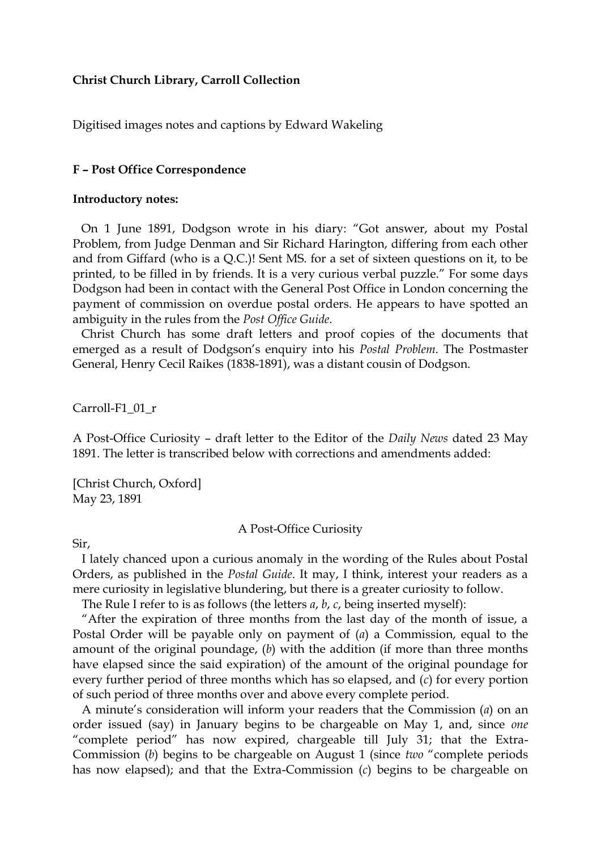## **Christ Church Library, Carroll Collection**

Digitised images notes and captions by Edward Wakeling

### **F – Post Office Correspondence**

#### **Introductory notes:**

On 1 June 1891, Dodgson wrote in his diary: "Got answer, about my Postal Problem, from Judge Denman and Sir Richard Harington, differing from each other and from Giffard (who is a Q.C.)! Sent MS. for a set of sixteen questions on it, to be printed, to be filled in by friends. It is a very curious verbal puzzle." For some days Dodgson had been in contact with the General Post Office in London concerning the payment of commission on overdue postal orders. He appears to have spotted an ambiguity in the rules from the *Post Office Guide*.

Christ Church has some draft letters and proof copies of the documents that emerged as a result of Dodgson's enquiry into his *Postal Problem*. The Postmaster General, Henry Cecil Raikes (1838-1891), was a distant cousin of Dodgson.

Carroll-F1\_01\_r

A Post-Office Curiosity – draft letter to the Editor of the *Daily News* dated 23 May 1891. The letter is transcribed below with corrections and amendments added:

[Christ Church, Oxford] May 23, 1891

#### A Post-Office Curiosity

Sir,

 I lately chanced upon a curious anomaly in the wording of the Rules about Postal Orders, as published in the *Postal Guide*. It may, I think, interest your readers as a mere curiosity in legislative blundering, but there is a greater curiosity to follow.

The Rule I refer to is as follows (the letters *a*, *b*, *c*, being inserted myself):

 "After the expiration of three months from the last day of the month of issue, a Postal Order will be payable only on payment of (*a*) a Commission, equal to the amount of the original poundage, (*b*) with the addition (if more than three months have elapsed since the said expiration) of the amount of the original poundage for every further period of three months which has so elapsed, and (*c*) for every portion of such period of three months over and above every complete period.

 A minute's consideration will inform your readers that the Commission (*a*) on an order issued (say) in January begins to be chargeable on May 1, and, since *one* "complete period" has now expired, chargeable till July 31; that the Extra-Commission (*b*) begins to be chargeable on August 1 (since *two* "complete periods has now elapsed); and that the Extra-Commission (*c*) begins to be chargeable on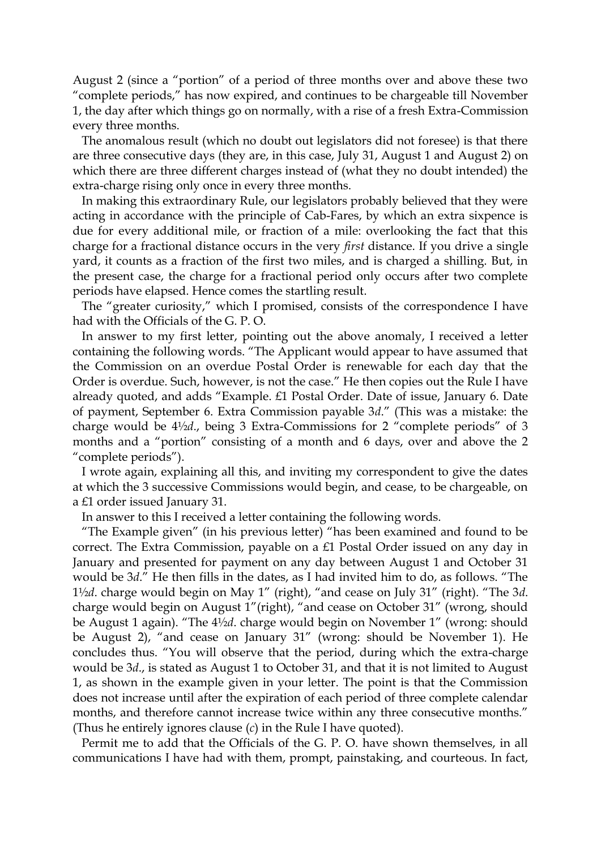August 2 (since a "portion" of a period of three months over and above these two "complete periods," has now expired, and continues to be chargeable till November 1, the day after which things go on normally, with a rise of a fresh Extra-Commission every three months.

 The anomalous result (which no doubt out legislators did not foresee) is that there are three consecutive days (they are, in this case, July 31, August 1 and August 2) on which there are three different charges instead of (what they no doubt intended) the extra-charge rising only once in every three months.

 In making this extraordinary Rule, our legislators probably believed that they were acting in accordance with the principle of Cab-Fares, by which an extra sixpence is due for every additional mile, or fraction of a mile: overlooking the fact that this charge for a fractional distance occurs in the very *first* distance. If you drive a single yard, it counts as a fraction of the first two miles, and is charged a shilling. But, in the present case, the charge for a fractional period only occurs after two complete periods have elapsed. Hence comes the startling result.

 The "greater curiosity," which I promised, consists of the correspondence I have had with the Officials of the G. P. O.

 In answer to my first letter, pointing out the above anomaly, I received a letter containing the following words. "The Applicant would appear to have assumed that the Commission on an overdue Postal Order is renewable for each day that the Order is overdue. Such, however, is not the case." He then copies out the Rule I have already quoted, and adds "Example. £1 Postal Order. Date of issue, January 6. Date of payment, September 6. Extra Commission payable 3*d*." (This was a mistake: the charge would be 4½*d*., being 3 Extra-Commissions for 2 "complete periods" of 3 months and a "portion" consisting of a month and 6 days, over and above the 2 "complete periods").

 I wrote again, explaining all this, and inviting my correspondent to give the dates at which the 3 successive Commissions would begin, and cease, to be chargeable, on a £1 order issued January 31.

In answer to this I received a letter containing the following words.

 "The Example given" (in his previous letter) "has been examined and found to be correct. The Extra Commission, payable on a £1 Postal Order issued on any day in January and presented for payment on any day between August 1 and October 31 would be 3*d*." He then fills in the dates, as I had invited him to do, as follows. "The 1½*d*. charge would begin on May 1" (right), "and cease on July 31" (right). "The 3*d*. charge would begin on August 1"(right), "and cease on October 31" (wrong, should be August 1 again). "The 4½*d*. charge would begin on November 1" (wrong: should be August 2), "and cease on January 31" (wrong: should be November 1). He concludes thus. "You will observe that the period, during which the extra-charge would be 3*d*., is stated as August 1 to October 31, and that it is not limited to August 1, as shown in the example given in your letter. The point is that the Commission does not increase until after the expiration of each period of three complete calendar months, and therefore cannot increase twice within any three consecutive months." (Thus he entirely ignores clause (*c*) in the Rule I have quoted).

 Permit me to add that the Officials of the G. P. O. have shown themselves, in all communications I have had with them, prompt, painstaking, and courteous. In fact,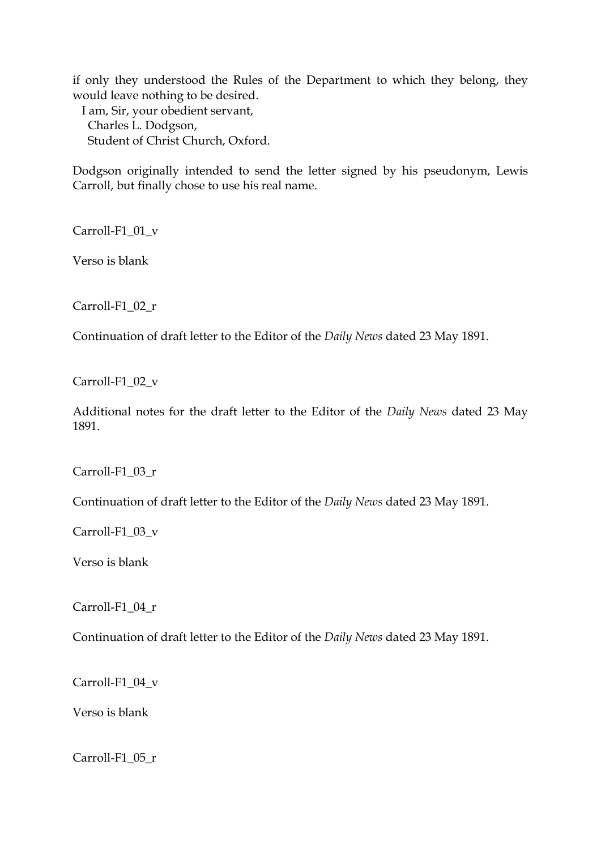if only they understood the Rules of the Department to which they belong, they would leave nothing to be desired.

 I am, Sir, your obedient servant, Charles L. Dodgson, Student of Christ Church, Oxford.

Dodgson originally intended to send the letter signed by his pseudonym, Lewis Carroll, but finally chose to use his real name.

Carroll-F1\_01\_v

Verso is blank

Carroll-F1\_02\_r

Continuation of draft letter to the Editor of the *Daily News* dated 23 May 1891.

Carroll-F1\_02\_v

Additional notes for the draft letter to the Editor of the *Daily News* dated 23 May 1891.

Carroll-F1\_03\_r

Continuation of draft letter to the Editor of the *Daily News* dated 23 May 1891.

Carroll-F1\_03\_v

Verso is blank

Carroll-F1\_04\_r

Continuation of draft letter to the Editor of the *Daily News* dated 23 May 1891.

Carroll-F1\_04\_v

Verso is blank

Carroll-F1\_05\_r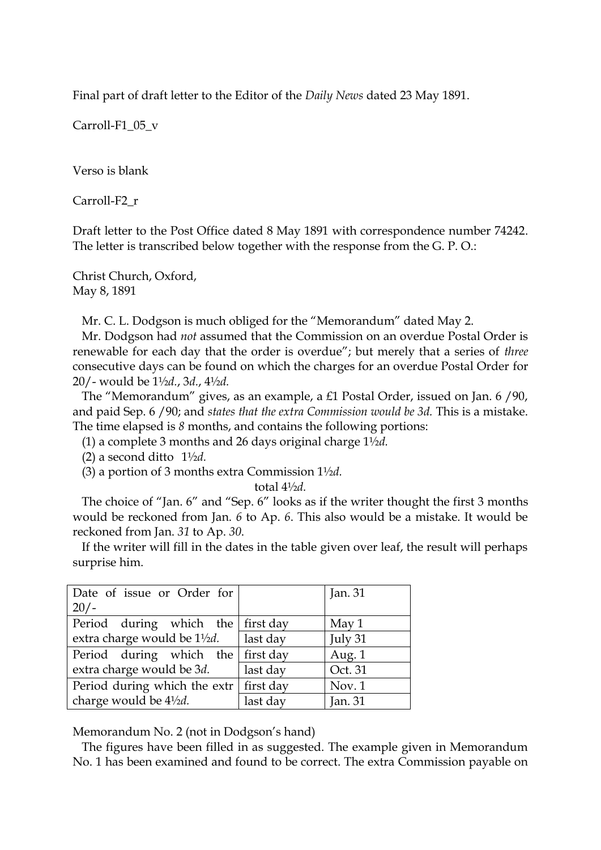Final part of draft letter to the Editor of the *Daily News* dated 23 May 1891.

Carroll-F1\_05\_v

Verso is blank

Carroll-F2\_r

Draft letter to the Post Office dated 8 May 1891 with correspondence number 74242. The letter is transcribed below together with the response from the G. P. O.:

Christ Church, Oxford, May 8, 1891

Mr. C. L. Dodgson is much obliged for the "Memorandum" dated May 2.

 Mr. Dodgson had *not* assumed that the Commission on an overdue Postal Order is renewable for each day that the order is overdue"; but merely that a series of *three* consecutive days can be found on which the charges for an overdue Postal Order for 20/- would be 1½*d.*, 3*d.*, 4½*d.*

 The "Memorandum" gives, as an example, a £1 Postal Order, issued on Jan. 6 /90, and paid Sep. 6 /90; and *states that the extra Commission would be 3d.* This is a mistake. The time elapsed is *8* months, and contains the following portions:

(1) a complete 3 months and 26 days original charge 1½*d.*

(2) a second ditto 1½*d.*

(3) a portion of 3 months extra Commission 1½*d.*

total 4½*d.*

 The choice of "Jan. 6" and "Sep. 6" looks as if the writer thought the first 3 months would be reckoned from Jan. *6* to Ap. *6*. This also would be a mistake. It would be reckoned from Jan. *31* to Ap. *30*.

 If the writer will fill in the dates in the table given over leaf, the result will perhaps surprise him.

| Date of issue or Order for                     |          | Jan. 31 |
|------------------------------------------------|----------|---------|
| $20/-$                                         |          |         |
| Period during which the first day              |          | May $1$ |
| extra charge would be 1½ <i>d</i> .            | last day | July 31 |
| Period during which the first day              |          | Aug. 1  |
| extra charge would be 3d.                      | last day | Oct. 31 |
| Period during which the extr $\vert$ first day |          | Nov.1   |
| charge would be 41/2d.                         | last day | Jan. 31 |
|                                                |          |         |

Memorandum No. 2 (not in Dodgson's hand)

 The figures have been filled in as suggested. The example given in Memorandum No. 1 has been examined and found to be correct. The extra Commission payable on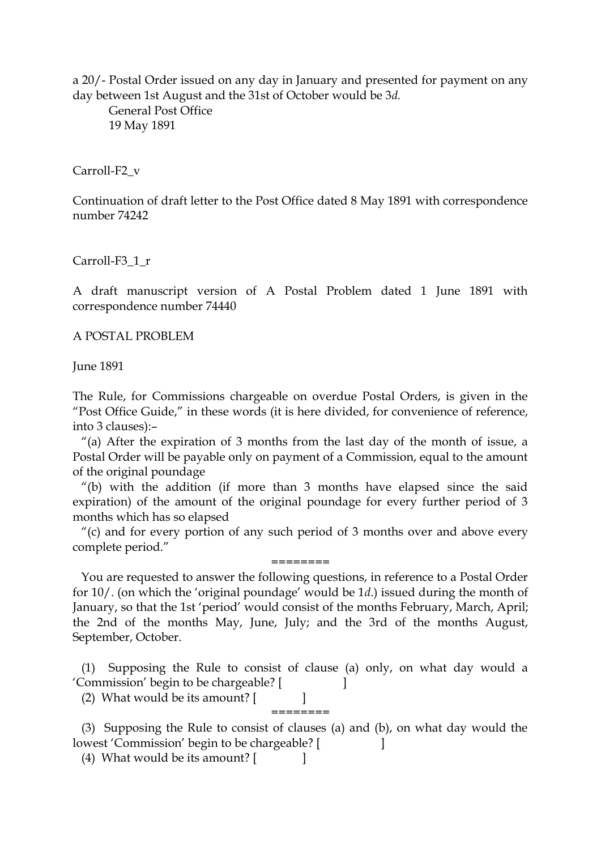a 20/- Postal Order issued on any day in January and presented for payment on any day between 1st August and the 31st of October would be 3*d.*

General Post Office 19 May 1891

Carroll-F2\_v

Continuation of draft letter to the Post Office dated 8 May 1891 with correspondence number 74242

Carroll-F3\_1\_r

A draft manuscript version of A Postal Problem dated 1 June 1891 with correspondence number 74440

A POSTAL PROBLEM

June 1891

The Rule, for Commissions chargeable on overdue Postal Orders, is given in the "Post Office Guide," in these words (it is here divided, for convenience of reference, into 3 clauses):–

"(a) After the expiration of 3 months from the last day of the month of issue, a Postal Order will be payable only on payment of a Commission, equal to the amount of the original poundage

"(b) with the addition (if more than 3 months have elapsed since the said expiration) of the amount of the original poundage for every further period of 3 months which has so elapsed

"(c) and for every portion of any such period of 3 months over and above every complete period."

======== You are requested to answer the following questions, in reference to a Postal Order for 10/. (on which the 'original poundage' would be 1*d*.) issued during the month of January, so that the 1st 'period' would consist of the months February, March, April; the 2nd of the months May, June, July; and the 3rd of the months August, September, October.

(1) Supposing the Rule to consist of clause (a) only, on what day would a 'Commission' begin to be chargeable? [ ]

(2) What would be its amount? [ ]

(3) Supposing the Rule to consist of clauses (a) and (b), on what day would the lowest 'Commission' begin to be chargeable? [

========

(4) What would be its amount? [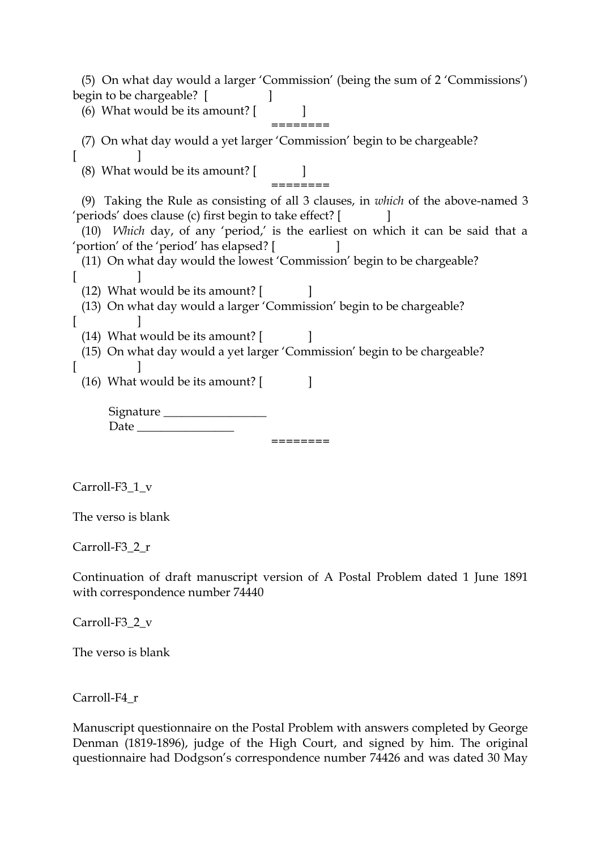(5) On what day would a larger 'Commission' (being the sum of 2 'Commissions') begin to be chargeable? [ (6) What would be its amount?  $\begin{bmatrix} \end{bmatrix}$ ======== (7) On what day would a yet larger 'Commission' begin to be chargeable?  $[$   $]$ (8) What would be its amount? [ ] ======== (9) Taking the Rule as consisting of all 3 clauses, in *which* of the above-named 3 'periods' does clause (c) first begin to take effect? [ ] (10) *Which* day, of any 'period,' is the earliest on which it can be said that a 'portion' of the 'period' has elapsed? [ ] (11) On what day would the lowest 'Commission' begin to be chargeable?  $[$   $]$ (12) What would be its amount?  $\begin{bmatrix} \phantom{a} \end{bmatrix}$ (13) On what day would a larger 'Commission' begin to be chargeable?  $[$   $]$ (14) What would be its amount?  $\begin{bmatrix} \phantom{a} \end{bmatrix}$ (15) On what day would a yet larger 'Commission' begin to be chargeable?  $[$   $]$ (16) What would be its amount?  $\begin{bmatrix} 1 \end{bmatrix}$ Signature \_\_\_\_\_\_\_\_\_\_\_\_\_\_\_\_\_  $Date$   $\_\_$ ======== Carroll-F3\_1\_v The verso is blank Carroll-F3\_2\_r

Continuation of draft manuscript version of A Postal Problem dated 1 June 1891 with correspondence number 74440

Carroll-F3\_2\_v

The verso is blank

Carroll-F4\_r

Manuscript questionnaire on the Postal Problem with answers completed by George Denman (1819-1896), judge of the High Court, and signed by him. The original questionnaire had Dodgson's correspondence number 74426 and was dated 30 May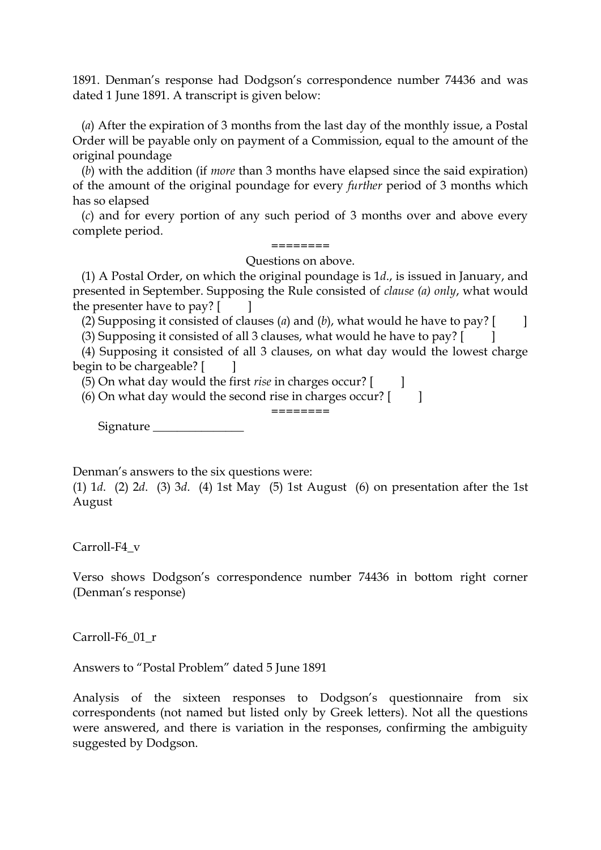1891. Denman's response had Dodgson's correspondence number 74436 and was dated 1 June 1891. A transcript is given below:

(*a*) After the expiration of 3 months from the last day of the monthly issue, a Postal Order will be payable only on payment of a Commission, equal to the amount of the original poundage

(*b*) with the addition (if *more* than 3 months have elapsed since the said expiration) of the amount of the original poundage for every *further* period of 3 months which has so elapsed

(*c*) and for every portion of any such period of 3 months over and above every complete period.

# ========

Questions on above.

(1) A Postal Order, on which the original poundage is 1*d*., is issued in January, and presented in September. Supposing the Rule consisted of *clause (a) only*, what would the presenter have to pay?  $[$   $]$ 

(2) Supposing it consisted of clauses (*a*) and (*b*), what would he have to pay?  $\begin{bmatrix} \ \ \ \ \ \ \ \end{bmatrix}$ 

(3) Supposing it consisted of all 3 clauses, what would he have to pay? [ ]

(4) Supposing it consisted of all 3 clauses, on what day would the lowest charge begin to be chargeable? [ ]

(5) On what day would the first *rise* in charges occur? [ ]

 $(6)$  On what day would the second rise in charges occur?  $\begin{bmatrix} 1 \\ 1 \end{bmatrix}$ ========

Signature \_\_\_\_\_\_\_\_

Denman's answers to the six questions were:

(1) 1*d*. (2) 2*d*. (3) 3*d*. (4) 1st May (5) 1st August (6) on presentation after the 1st August

Carroll-F4\_v

Verso shows Dodgson's correspondence number 74436 in bottom right corner (Denman's response)

Carroll-F6\_01\_r

Answers to "Postal Problem" dated 5 June 1891

Analysis of the sixteen responses to Dodgson's questionnaire from six correspondents (not named but listed only by Greek letters). Not all the questions were answered, and there is variation in the responses, confirming the ambiguity suggested by Dodgson.